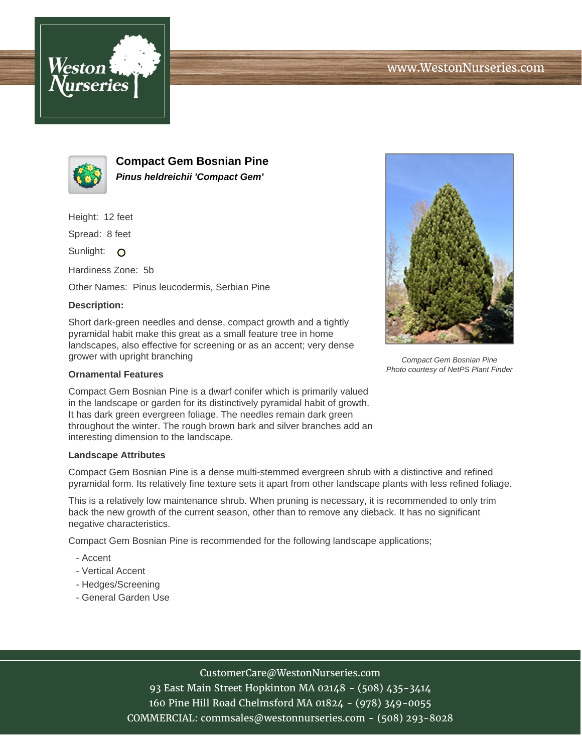



**Compact Gem Bosnian Pine Pinus heldreichii 'Compact Gem'**

Height: 12 feet

Spread: 8 feet

Sunlight: O

Hardiness Zone: 5b

Other Names: Pinus leucodermis, Serbian Pine

## **Description:**

Short dark-green needles and dense, compact growth and a tightly pyramidal habit make this great as a small feature tree in home landscapes, also effective for screening or as an accent; very dense grower with upright branching

## **Ornamental Features**

Compact Gem Bosnian Pine is a dwarf conifer which is primarily valued in the landscape or garden for its distinctively pyramidal habit of growth. It has dark green evergreen foliage. The needles remain dark green throughout the winter. The rough brown bark and silver branches add an interesting dimension to the landscape.

## **Landscape Attributes**

Compact Gem Bosnian Pine is a dense multi-stemmed evergreen shrub with a distinctive and refined pyramidal form. Its relatively fine texture sets it apart from other landscape plants with less refined foliage.

This is a relatively low maintenance shrub. When pruning is necessary, it is recommended to only trim back the new growth of the current season, other than to remove any dieback. It has no significant negative characteristics.

Compact Gem Bosnian Pine is recommended for the following landscape applications;

- Accent
- Vertical Accent
- Hedges/Screening
- General Garden Use



Compact Gem Bosnian Pine Photo courtesy of NetPS Plant Finder

CustomerCare@WestonNurseries.com

93 East Main Street Hopkinton MA 02148 - (508) 435-3414 160 Pine Hill Road Chelmsford MA 01824 - (978) 349-0055 COMMERCIAL: commsales@westonnurseries.com - (508) 293-8028